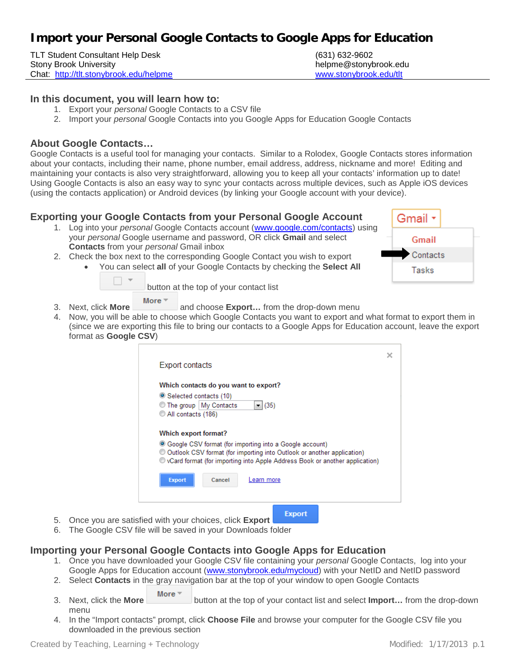# **Import your Personal Google Contacts to Google Apps for Education**

TLT Student Consultant Help Desk (631) 632-9602 Stony Brook University helpme@stonybrook.edu Chat: <http://tlt.stonybrook.edu/helpme> [www.stonybrook.edu/tlt](http://www.stonybrook.edu/tlt)

### **In this document, you will learn how to:**

- 1. Export your *personal* Google Contacts to a CSV file
- 2. Import your *personal* Google Contacts into you Google Apps for Education Google Contacts

## **About Google Contacts…**

Google Contacts is a useful tool for managing your contacts. Similar to a Rolodex, Google Contacts stores information about your contacts, including their name, phone number, email address, address, nickname and more! Editing and maintaining your contacts is also very straightforward, allowing you to keep all your contacts' information up to date! Using Google Contacts is also an easy way to sync your contacts across multiple devices, such as Apple iOS devices (using the contacts application) or Android devices (by linking your Google account with your device).

## **Exporting your Google Contacts from your Personal Google Account**

- 1. Log into your *personal* Google Contacts account [\(www.google.com/contacts\)](http://www.google.com/contacts) using your *personal* Google username and password, OR click **Gmail** and select **Contacts** from your *personal* Gmail inbox
- 2. Check the box next to the corresponding Google Contact you wish to export
	- You can select **all** of your Google Contacts by checking the **Select All**



button at the top of your contact list

- More  $\overline{ }$ 3. Next, click **More** and choose **Export...** from the drop-down menu
- 4. Now, you will be able to choose which Google Contacts you want to export and what format to export them in (since we are exporting this file to bring our contacts to a Google Apps for Education account, leave the export format as **Google CSV**)

| <b>Export contacts</b>                                                        |  |
|-------------------------------------------------------------------------------|--|
| Which contacts do you want to export?                                         |  |
| ● Selected contacts (10)                                                      |  |
| $- (35)$<br>◯ The group   My Contacts                                         |  |
| All contacts (186)                                                            |  |
| Which export format?                                                          |  |
| ● Google CSV format (for importing into a Google account)                     |  |
| © Outlook CSV format (for importing into Outlook or another application)      |  |
| © vCard format (for importing into Apple Address Book or another application) |  |
| <b>Export</b><br>Cancel<br>Learn more                                         |  |
|                                                                               |  |
|                                                                               |  |
|                                                                               |  |

- 5. Once you are satisfied with your choices, click **Export**
- 6. The Google CSV file will be saved in your Downloads folder

## **Importing your Personal Google Contacts into Google Apps for Education**

- 1. Once you have downloaded your Google CSV file containing your *personal* Google Contacts, log into your Google Apps for Education account [\(www.stonybrook.edu/mycloud\)](http://www.stonybrook.edu/mycloud) with your NetID and NetID password
- 2. Select **Contacts** in the gray navigation bar at the top of your window to open Google Contacts
- More 3. Next, click the **More** button at the top of your contact list and select **Import…** from the drop-down menu
- 4. In the "Import contacts" prompt, click **Choose File** and browse your computer for the Google CSV file you downloaded in the previous section